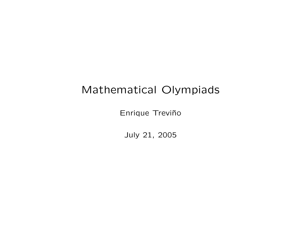# Mathematical Olympiads

Enrique Treviño

July 21, 2005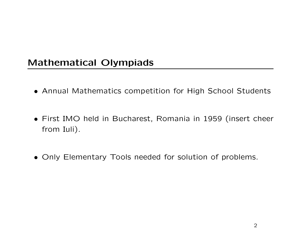# Mathematical Olympiads

- Annual Mathematics competition for High School Students
- First IMO held in Bucharest, Romania in 1959 (insert cheer from Iuli).
- Only Elementary Tools needed for solution of problems.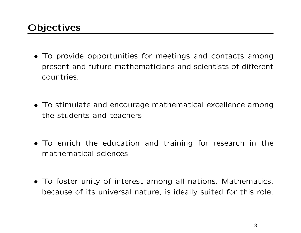# **Objectives**

- To provide opportunities for meetings and contacts among present and future mathematicians and scientists of different countries.
- To stimulate and encourage mathematical excellence among the students and teachers
- To enrich the education and training for research in the mathematical sciences
- To foster unity of interest among all nations. Mathematics, because of its universal nature, is ideally suited for this role.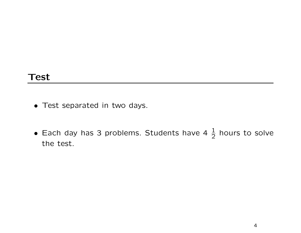#### Test

- Test separated in two days.
- Each day has 3 problems. Students have 4  $\frac{1}{2}$  hours to solve the test.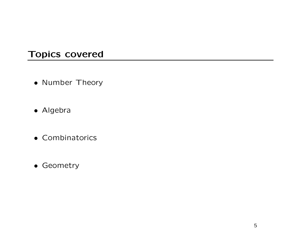### Topics covered

- Number Theory
- Algebra
- Combinatorics
- Geometry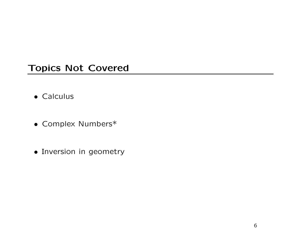### Topics Not Covered

- Calculus
- Complex Numbers\*
- Inversion in geometry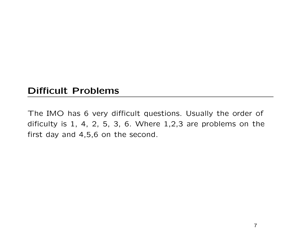## Difficult Problems

The IMO has 6 very difficult questions. Usually the order of dificulty is 1, 4, 2, 5, 3, 6. Where 1,2,3 are problems on the first day and 4,5,6 on the second.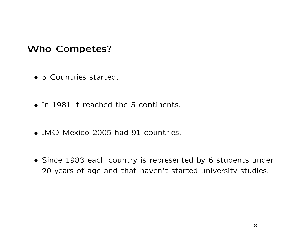#### Who Competes?

- 5 Countries started.
- In 1981 it reached the 5 continents.
- IMO Mexico 2005 had 91 countries.
- Since 1983 each country is represented by 6 students under 20 years of age and that haven't started university studies.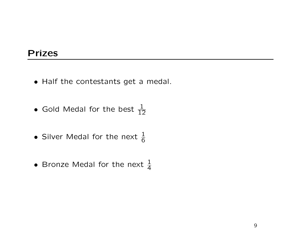### Prizes

- Half the contestants get a medal.
- Gold Medal for the best  $\frac{1}{12}$
- Silver Medal for the next  $\frac{1}{6}$
- Bronze Medal for the next  $\frac{1}{4}$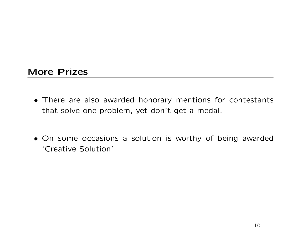#### More Prizes

- There are also awarded honorary mentions for contestants that solve one problem, yet don't get a medal.
- On some occasions a solution is worthy of being awarded 'Creative Solution'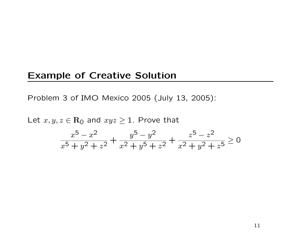#### Example of Creative Solution

Problem 3 of IMO Mexico 2005 (July 13, 2005):

Let  $x, y, z \in \mathbf{R}_{0}$  and  $xyz \geq 1$ . Prove that

$$
\frac{x^5 - x^2}{x^5 + y^2 + z^2} + \frac{y^5 - y^2}{x^2 + y^5 + z^2} + \frac{z^5 - z^2}{x^2 + y^2 + z^5} \ge 0
$$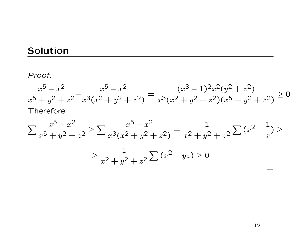# Solution

Proof.

$$
\frac{x^5 - x^2}{x^5 + y^2 + z^2} - \frac{x^5 - x^2}{x^3(x^2 + y^2 + z^2)} = \frac{(x^3 - 1)^2 x^2 (y^2 + z^2)}{x^3 (x^2 + y^2 + z^2)(x^5 + y^2 + z^2)} \ge 0
$$
  
Therefore

$$
\sum \frac{x^5 - x^2}{x^5 + y^2 + z^2} \ge \sum \frac{x^5 - x^2}{x^3(x^2 + y^2 + z^2)} = \frac{1}{x^2 + y^2 + z^2} \sum (x^2 - \frac{1}{x}) \ge
$$

$$
\geq \frac{1}{x^2 + y^2 + z^2} \sum (x^2 - yz) \geq 0
$$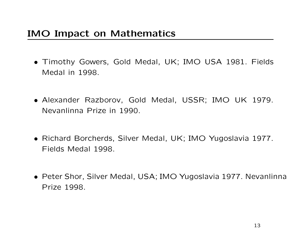- Timothy Gowers, Gold Medal, UK; IMO USA 1981. Fields Medal in 1998.
- Alexander Razborov, Gold Medal, USSR; IMO UK 1979. Nevanlinna Prize in 1990.
- Richard Borcherds, Silver Medal, UK; IMO Yugoslavia 1977. Fields Medal 1998.
- Peter Shor, Silver Medal, USA; IMO Yugoslavia 1977. Nevanlinna Prize 1998.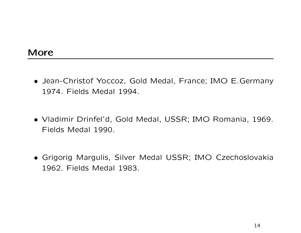- Jean-Christof Yoccoz, Gold Medal, France; IMO E.Germany 1974. Fields Medal 1994.
- Vladimir Drinfel'd, Gold Medal, USSR; IMO Romania, 1969. Fields Medal 1990.
- Grigorig Margulis, Silver Medal USSR; IMO Czechoslovakia 1962. Fields Medal 1983.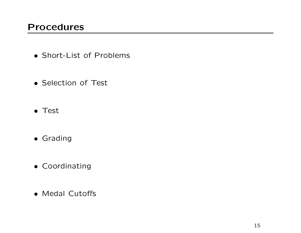## Procedures

- Short-List of Problems
- Selection of Test
- Test
- Grading
- Coordinating
- Medal Cutoffs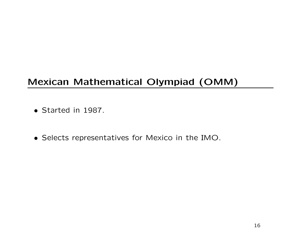# Mexican Mathematical Olympiad (OMM)

- Started in 1987.
- Selects representatives for Mexico in the IMO.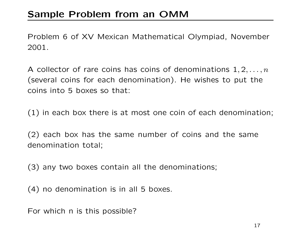# Sample Problem from an OMM

Problem 6 of XV Mexican Mathematical Olympiad, November 2001.

A collector of rare coins has coins of denominations  $1, 2, \ldots, n$ (several coins for each denomination). He wishes to put the coins into 5 boxes so that:

(1) in each box there is at most one coin of each denomination;

(2) each box has the same number of coins and the same denomination total;

(3) any two boxes contain all the denominations;

(4) no denomination is in all 5 boxes.

For which n is this possible?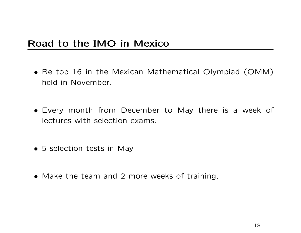### Road to the IMO in Mexico

- Be top 16 in the Mexican Mathematical Olympiad (OMM) held in November.
- Every month from December to May there is a week of lectures with selection exams.
- 5 selection tests in May
- Make the team and 2 more weeks of training.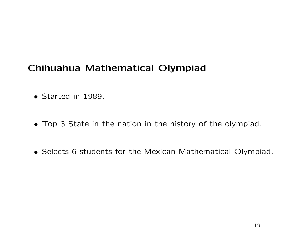# Chihuahua Mathematical Olympiad

- Started in 1989.
- Top 3 State in the nation in the history of the olympiad.
- Selects 6 students for the Mexican Mathematical Olympiad.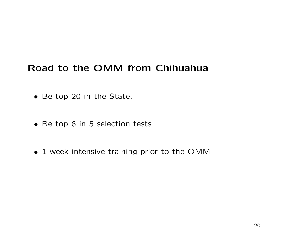# Road to the OMM from Chihuahua

- Be top 20 in the State.
- Be top 6 in 5 selection tests
- 1 week intensive training prior to the OMM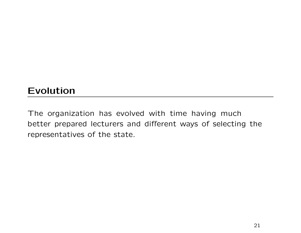# Evolution

The organization has evolved with time having much better prepared lecturers and different ways of selecting the representatives of the state.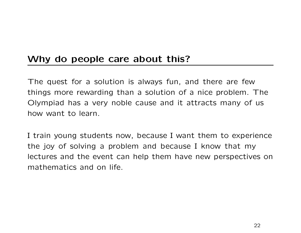## Why do people care about this?

The quest for a solution is always fun, and there are few things more rewarding than a solution of a nice problem. The Olympiad has a very noble cause and it attracts many of us how want to learn.

I train young students now, because I want them to experience the joy of solving a problem and because I know that my lectures and the event can help them have new perspectives on mathematics and on life.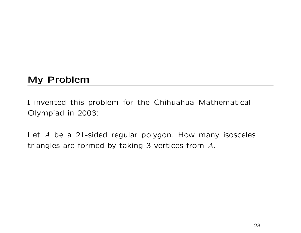## My Problem

I invented this problem for the Chihuahua Mathematical Olympiad in 2003:

Let  $A$  be a 21-sided regular polygon. How many isosceles triangles are formed by taking 3 vertices from A.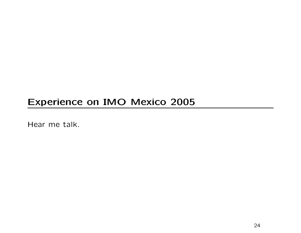# Experience on IMO Mexico 2005

Hear me talk.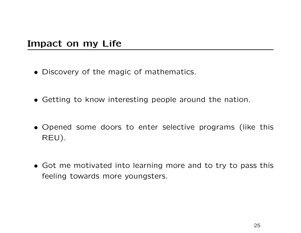## Impact on my Life

- Discovery of the magic of mathematics.
- Getting to know interesting people around the nation.
- Opened some doors to enter selective programs (like this REU).
- Got me motivated into learning more and to try to pass this feeling towards more youngsters.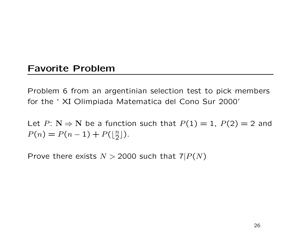#### Favorite Problem

Problem 6 from an argentinian selection test to pick members for the ' XI Olimpiada Matematica del Cono Sur 2000'

Let  $P: N \Rightarrow N$  be a function such that  $P(1) = 1$ ,  $P(2) = 2$  and  $P(n) = P(n-1) + P(|\frac{n}{2})$  $\frac{n}{2}$ ]).

Prove there exists  $N > 2000$  such that  $7|P(N)$